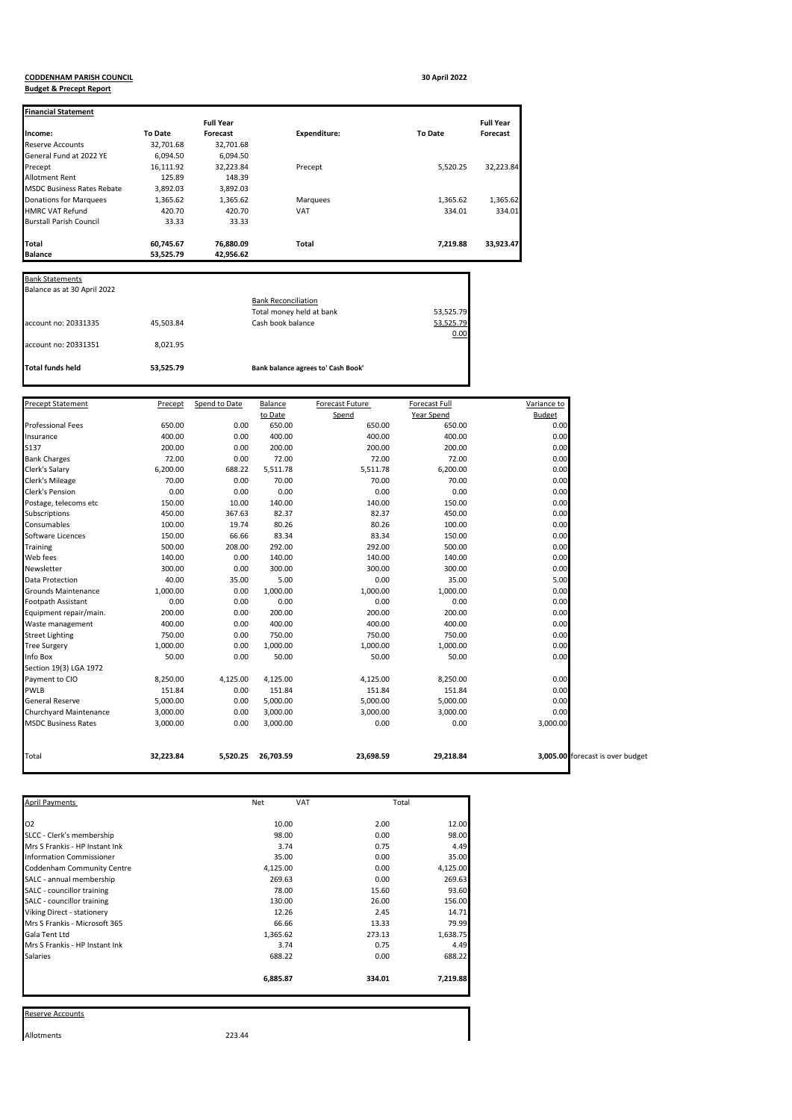## **CODDENHAM PARISH COUNCIL 30 April 2022**

## **Budget & Precept Report**

| <b>Financial Statement</b>        |                |                  |                     |                |                  |
|-----------------------------------|----------------|------------------|---------------------|----------------|------------------|
|                                   |                | <b>Full Year</b> |                     |                | <b>Full Year</b> |
| Income:                           | <b>To Date</b> | Forecast         | <b>Expenditure:</b> | <b>To Date</b> | <b>Forecast</b>  |
| <b>Reserve Accounts</b>           | 32,701.68      | 32,701.68        |                     |                |                  |
| General Fund at 2022 YE           | 6,094.50       | 6,094.50         |                     |                |                  |
| Precept                           | 16,111.92      | 32,223.84        | Precept             | 5.520.25       | 32,223.84        |
| Allotment Rent                    | 125.89         | 148.39           |                     |                |                  |
| <b>MSDC Business Rates Rebate</b> | 3,892.03       | 3,892.03         |                     |                |                  |
| Donations for Marquees            | 1,365.62       | 1,365.62         | Marquees            | 1,365.62       | 1,365.62         |
| <b>HMRC VAT Refund</b>            | 420.70         | 420.70           | VAT                 | 334.01         | 334.01           |
| <b>Burstall Parish Council</b>    | 33.33          | 33.33            |                     |                |                  |
| Total                             | 60,745.67      | 76,880.09        | <b>Total</b>        | 7,219.88       | 33,923.47        |
| <b>Balance</b>                    | 53.525.79      | 42,956.62        |                     |                |                  |

| Total funds held            | 53,525.79 | Bank balance agrees to' Cash Book' |           |
|-----------------------------|-----------|------------------------------------|-----------|
| account no: 20331351        | 8.021.95  |                                    |           |
|                             |           |                                    | 0.00      |
| account no: 20331335        | 45,503.84 | Cash book balance                  | 53,525.79 |
|                             |           | Total money held at bank           | 53,525.79 |
|                             |           | <b>Bank Reconciliation</b>         |           |
| Balance as at 30 April 2022 |           |                                    |           |
|                             |           |                                    |           |

| <b>Precept Statement</b>   | Precept   | Spend to Date | Balance   | Forecast Future | <b>Forecast Full</b> | Variance to                      |
|----------------------------|-----------|---------------|-----------|-----------------|----------------------|----------------------------------|
|                            |           |               | to Date   | Spend           | Year Spend           | Budget                           |
| <b>Professional Fees</b>   | 650.00    | 0.00          | 650.00    | 650.00          | 650.00               | 0.00                             |
| Insurance                  | 400.00    | 0.00          | 400.00    | 400.00          | 400.00               | 0.00                             |
| S137                       | 200.00    | 0.00          | 200.00    | 200.00          | 200.00               | 0.00                             |
| <b>Bank Charges</b>        | 72.00     | 0.00          | 72.00     | 72.00           | 72.00                | 0.00                             |
| Clerk's Salary             | 6,200.00  | 688.22        | 5,511.78  | 5,511.78        | 6,200.00             | 0.00                             |
| Clerk's Mileage            | 70.00     | 0.00          | 70.00     | 70.00           | 70.00                | 0.00                             |
| Clerk's Pension            | 0.00      | 0.00          | 0.00      | 0.00            | 0.00                 | 0.00                             |
| Postage, telecoms etc      | 150.00    | 10.00         | 140.00    | 140.00          | 150.00               | 0.00                             |
| Subscriptions              | 450.00    | 367.63        | 82.37     | 82.37           | 450.00               | 0.00                             |
| Consumables                | 100.00    | 19.74         | 80.26     | 80.26           | 100.00               | 0.00                             |
| Software Licences          | 150.00    | 66.66         | 83.34     | 83.34           | 150.00               | 0.00                             |
| Training                   | 500.00    | 208.00        | 292.00    | 292.00          | 500.00               | 0.00                             |
| Web fees                   | 140.00    | 0.00          | 140.00    | 140.00          | 140.00               | 0.00                             |
| Newsletter                 | 300.00    | 0.00          | 300.00    | 300.00          | 300.00               | 0.00                             |
| Data Protection            | 40.00     | 35.00         | 5.00      | 0.00            | 35.00                | 5.00                             |
| <b>Grounds Maintenance</b> | 1,000.00  | 0.00          | 1,000.00  | 1,000.00        | 1,000.00             | 0.00                             |
| Footpath Assistant         | 0.00      | 0.00          | 0.00      | 0.00            | 0.00                 | 0.00                             |
| Equipment repair/main.     | 200.00    | 0.00          | 200.00    | 200.00          | 200.00               | 0.00                             |
| Waste management           | 400.00    | 0.00          | 400.00    | 400.00          | 400.00               | 0.00                             |
| <b>Street Lighting</b>     | 750.00    | 0.00          | 750.00    | 750.00          | 750.00               | 0.00                             |
| <b>Tree Surgery</b>        | 1,000.00  | 0.00          | 1,000.00  | 1,000.00        | 1,000.00             | 0.00                             |
| Info Box                   | 50.00     | 0.00          | 50.00     | 50.00           | 50.00                | 0.00                             |
| Section 19(3) LGA 1972     |           |               |           |                 |                      |                                  |
| Payment to CIO             | 8,250.00  | 4,125.00      | 4,125.00  | 4,125.00        | 8,250.00             | 0.00                             |
| PWLB                       | 151.84    | 0.00          | 151.84    | 151.84          | 151.84               | 0.00                             |
| General Reserve            | 5,000.00  | 0.00          | 5,000.00  | 5,000.00        | 5,000.00             | 0.00                             |
| Churchyard Maintenance     | 3,000.00  | 0.00          | 3,000.00  | 3,000.00        | 3,000.00             | 0.00                             |
| <b>MSDC Business Rates</b> | 3,000.00  | 0.00          | 3,000.00  | 0.00            | 0.00                 | 3,000.00                         |
| Total                      | 32,223.84 | 5,520.25      | 26,703.59 | 23,698.59       | 29,218.84            | 3,005.00 forecast is over budget |

| <b>April Payments</b>             | <b>Net</b> | VAT | Total  |          |
|-----------------------------------|------------|-----|--------|----------|
|                                   |            |     |        |          |
| 02                                | 10.00      |     | 2.00   | 12.00    |
| SLCC - Clerk's membership         | 98.00      |     | 0.00   | 98.00    |
| Mrs S Frankis - HP Instant Ink    | 3.74       |     | 0.75   | 4.49     |
| <b>Information Commissioner</b>   | 35.00      |     | 0.00   | 35.00    |
| Coddenham Community Centre        | 4,125.00   |     | 0.00   | 4,125.00 |
| SALC - annual membership          | 269.63     |     | 0.00   | 269.63   |
| SALC - councillor training        | 78.00      |     | 15.60  | 93.60    |
| SALC - councillor training        | 130.00     |     | 26.00  | 156.00   |
| <b>Viking Direct - stationery</b> | 12.26      |     | 2.45   | 14.71    |
| Mrs S Frankis - Microsoft 365     | 66.66      |     | 13.33  | 79.99    |
| Gala Tent Ltd                     | 1,365.62   |     | 273.13 | 1,638.75 |
| Mrs S Frankis - HP Instant Ink    | 3.74       |     | 0.75   | 4.49     |
| Salaries                          | 688.22     |     | 0.00   | 688.22   |
|                                   | 6,885.87   |     | 334.01 | 7,219.88 |
|                                   |            |     |        |          |
| Reserve Accounts                  |            |     |        |          |

Allotments 223.44